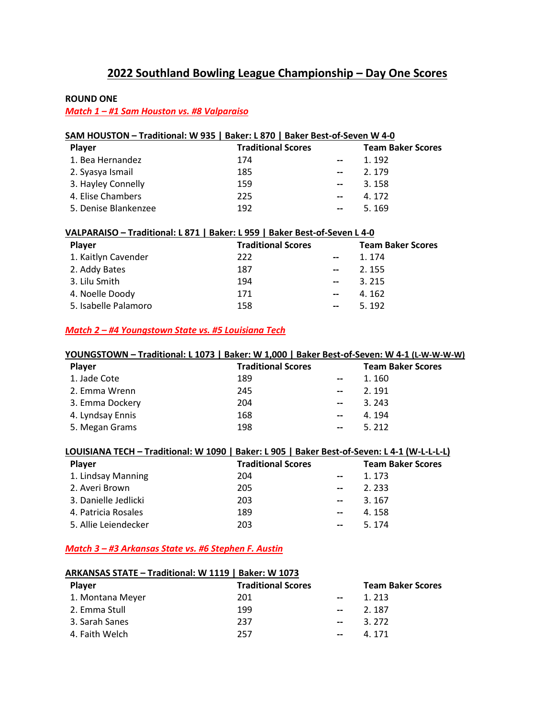# **2022 Southland Bowling League Championship – Day One Scores**

## **ROUND ONE**

*Match 1 – #1 Sam Houston vs. #8 Valparaiso*

#### **SAM HOUSTON – Traditional: W 935 | Baker: L 870 | Baker Best-of-Seven W 4-0**

| <b>Player</b>        | <b>Traditional Scores</b> |                          | <b>Team Baker Scores</b> |
|----------------------|---------------------------|--------------------------|--------------------------|
| 1. Bea Hernandez     | 174                       | $\overline{\phantom{a}}$ | 1. 192                   |
| 2. Syasya Ismail     | 185                       | $\overline{\phantom{a}}$ | 2.179                    |
| 3. Hayley Connelly   | 159                       | $\overline{\phantom{a}}$ | 3.158                    |
| 4. Elise Chambers    | 225                       | $\overline{\phantom{a}}$ | 4.172                    |
| 5. Denise Blankenzee | 192                       | $\overline{\phantom{a}}$ | 5.169                    |

#### **VALPARAISO – Traditional: L 871 | Baker: L 959 | Baker Best-of-Seven L 4-0**

| <b>Player</b>        | <b>Traditional Scores</b> |                          | <b>Team Baker Scores</b> |  |
|----------------------|---------------------------|--------------------------|--------------------------|--|
| 1. Kaitlyn Cavender  | 222                       | $-$                      | 1.174                    |  |
| 2. Addy Bates        | 187                       | $\overline{\phantom{a}}$ | 2.155                    |  |
| 3. Lilu Smith        | 194                       | $\hspace{0.05cm} \ldots$ | 3.215                    |  |
| 4. Noelle Doody      | 171                       | $\overline{\phantom{a}}$ | 4.162                    |  |
| 5. Isabelle Palamoro | 158                       | $-$                      | 5.192                    |  |

## *Match 2 – #4 Youngstown State vs. #5 Louisiana Tech*

#### **YOUNGSTOWN – Traditional: L 1073 | Baker: W 1,000 | Baker Best-of-Seven: W 4-1 (L-W-W-W-W)**

| <b>Player</b>    | <b>Traditional Scores</b> |                          | <b>Team Baker Scores</b> |
|------------------|---------------------------|--------------------------|--------------------------|
| 1. Jade Cote     | 189                       | $\overline{\phantom{a}}$ | 1.160                    |
| 2. Emma Wrenn    | 245                       | $\overline{\phantom{a}}$ | 2.191                    |
| 3. Emma Dockery  | 204                       | $\overline{\phantom{a}}$ | 3.243                    |
| 4. Lyndsay Ennis | 168                       | $\overline{\phantom{a}}$ | 4.194                    |
| 5. Megan Grams   | 198                       | $\overline{\phantom{a}}$ | 5.212                    |

#### **LOUISIANA TECH – Traditional: W 1090 | Baker: L 905 | Baker Best-of-Seven: L 4-1 (W-L-L-L-L)**

| <b>Player</b>        | <b>Traditional Scores</b> |                               | <b>Team Baker Scores</b> |  |
|----------------------|---------------------------|-------------------------------|--------------------------|--|
| 1. Lindsay Manning   | 204                       | $\hspace{0.05cm} \textbf{--}$ | 1.173                    |  |
| 2. Averi Brown       | 205                       | $\overline{\phantom{a}}$      | 2.233                    |  |
| 3. Danielle Jedlicki | 203                       | $\overline{\phantom{a}}$      | 3.167                    |  |
| 4. Patricia Rosales  | 189                       | $-$                           | 4.158                    |  |
| 5. Allie Leiendecker | 203                       | $\overline{\phantom{0}}$      | 5.174                    |  |

## *Match 3 – #3 Arkansas State vs. #6 Stephen F. Austin*

#### **ARKANSAS STATE – Traditional: W 1119 | Baker: W 1073**

| <b>Player</b>    | <b>Traditional Scores</b> |                          | <b>Team Baker Scores</b> |
|------------------|---------------------------|--------------------------|--------------------------|
| 1. Montana Meyer | 201                       | $-$                      | 1.213                    |
| 2. Emma Stull    | 199                       | $\overline{\phantom{a}}$ | 2.187                    |
| 3. Sarah Sanes   | 237                       | $\overline{\phantom{a}}$ | 3.272                    |
| 4. Faith Welch   | 257                       | $\overline{\phantom{a}}$ | 4.171                    |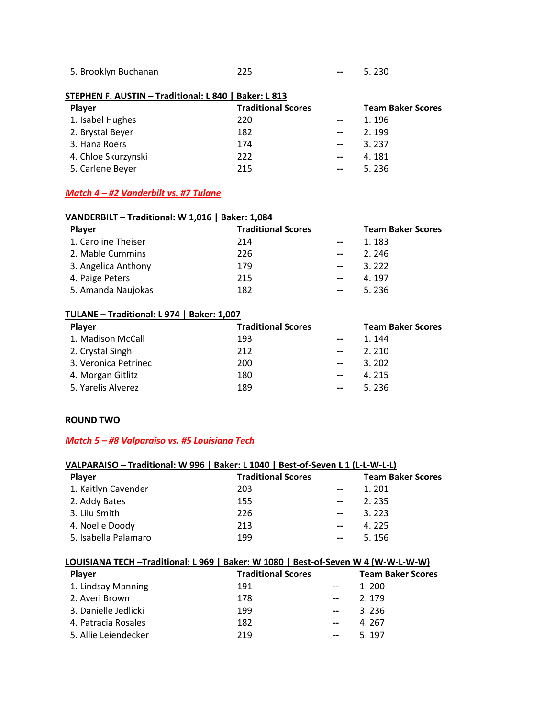5. Brooklyn Buchanan 225 **--** 5. 230

#### **STEPHEN F. AUSTIN – Traditional: L 840 | Baker: L 813**

| Player              | <b>Traditional Scores</b> |                          | <b>Team Baker Scores</b> |  |
|---------------------|---------------------------|--------------------------|--------------------------|--|
| 1. Isabel Hughes    | 220                       | $\overline{\phantom{a}}$ | 1.196                    |  |
| 2. Brystal Beyer    | 182                       | $\overline{\phantom{a}}$ | 2.199                    |  |
| 3. Hana Roers       | 174                       | $\overline{\phantom{a}}$ | 3.237                    |  |
| 4. Chloe Skurzynski | 222                       | $\overline{\phantom{a}}$ | 4.181                    |  |
| 5. Carlene Beyer    | 215                       | $- -$                    | 5.236                    |  |

## *Match 4 – #2 Vanderbilt vs. #7 Tulane*

## **VANDERBILT – Traditional: W 1,016 | Baker: 1,084**

| <b>Player</b>       | <b>Traditional Scores</b> |                               | <b>Team Baker Scores</b> |  |
|---------------------|---------------------------|-------------------------------|--------------------------|--|
| 1. Caroline Theiser | 214                       | $\hspace{0.05cm} \textbf{--}$ | 1.183                    |  |
| 2. Mable Cummins    | 226                       | $\overline{\phantom{a}}$      | 2.246                    |  |
| 3. Angelica Anthony | 179                       | $\overline{\phantom{a}}$      | 3.222                    |  |
| 4. Paige Peters     | 215                       | $-$                           | 4.197                    |  |
| 5. Amanda Naujokas  | 182                       | $-$                           | 5.236                    |  |

## **TULANE – Traditional: L 974 | Baker: 1,007**

| <b>Player</b>        | <b>Traditional Scores</b> |                          | <b>Team Baker Scores</b> |  |
|----------------------|---------------------------|--------------------------|--------------------------|--|
| 1. Madison McCall    | 193                       | $-$                      | 1.144                    |  |
| 2. Crystal Singh     | 212                       | $\overline{\phantom{a}}$ | 2.210                    |  |
| 3. Veronica Petrinec | 200                       | $\overline{\phantom{0}}$ | 3.202                    |  |
| 4. Morgan Gitlitz    | 180                       | $\overline{\phantom{a}}$ | 4.215                    |  |
| 5. Yarelis Alverez   | 189                       | $-$                      | 5.236                    |  |

## **ROUND TWO**

## *Match 5 – #8 Valparaiso vs. #5 Louisiana Tech*

| VALPARAISO - Traditional: W 996   Baker: L 1040   Best-of-Seven L 1 (L-L-W-L-L) |                           |                          |                          |  |
|---------------------------------------------------------------------------------|---------------------------|--------------------------|--------------------------|--|
| <b>Player</b>                                                                   | <b>Traditional Scores</b> |                          | <b>Team Baker Scores</b> |  |
| 1. Kaitlyn Cavender                                                             | 203                       | $\overline{\phantom{a}}$ | 1. 201                   |  |
| 2. Addy Bates                                                                   | 155                       | $\overline{\phantom{a}}$ | 2.235                    |  |
| 3. Lilu Smith                                                                   | 226                       | $\overline{\phantom{a}}$ | 3.223                    |  |
| 4. Noelle Doody                                                                 | 213                       | $\overline{\phantom{a}}$ | 4.225                    |  |
| 5. Isabella Palamaro                                                            | 199                       | $- -$                    | 5.156                    |  |

# **LOUISIANA TECH –Traditional: L 969 | Baker: W 1080 | Best-of-Seven W 4 (W-W-L-W-W)**

| <b>Player</b>        | <b>Traditional Scores</b> |                          | <b>Team Baker Scores</b> |  |
|----------------------|---------------------------|--------------------------|--------------------------|--|
| 1. Lindsay Manning   | 191                       | $- -$                    | 1.200                    |  |
| 2. Averi Brown       | 178                       | $\overline{\phantom{a}}$ | 2.179                    |  |
| 3. Danielle Jedlicki | 199                       | $\overline{\phantom{a}}$ | 3.236                    |  |
| 4. Patracia Rosales  | 182                       | $- -$                    | 4.267                    |  |
| 5. Allie Leiendecker | 219                       | $\overline{\phantom{a}}$ | 5.197                    |  |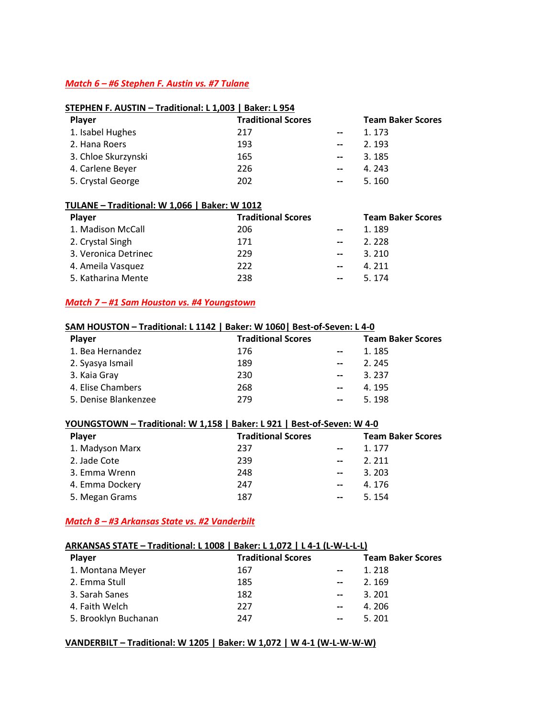## *Match 6 – #6 Stephen F. Austin vs. #7 Tulane*

#### **STEPHEN F. AUSTIN – Traditional: L 1,003 | Baker: L 954**

| Player              | <b>Traditional Scores</b> |                          | <b>Team Baker Scores</b> |
|---------------------|---------------------------|--------------------------|--------------------------|
| 1. Isabel Hughes    | 217                       | $\overline{\phantom{a}}$ | 1.173                    |
| 2. Hana Roers       | 193                       | $\overline{\phantom{a}}$ | 2.193                    |
| 3. Chloe Skurzynski | 165                       | $\overline{\phantom{0}}$ | 3.185                    |
| 4. Carlene Beyer    | 226                       | $\overline{\phantom{a}}$ | 4.243                    |
| 5. Crystal George   | 202                       | $\overline{\phantom{a}}$ | 5.160                    |

#### **TULANE – Traditional: W 1,066 | Baker: W 1012**

| <b>Player</b>        | <b>Traditional Scores</b> |                          | <b>Team Baker Scores</b> |  |
|----------------------|---------------------------|--------------------------|--------------------------|--|
| 1. Madison McCall    | 206                       | $\overline{\phantom{a}}$ | 1.189                    |  |
| 2. Crystal Singh     | 171                       | $\overline{\phantom{a}}$ | 2.228                    |  |
| 3. Veronica Detrinec | 229                       | $\overline{\phantom{a}}$ | 3.210                    |  |
| 4. Ameila Vasquez    | 222                       | $-$                      | 4.211                    |  |
| 5. Katharina Mente   | 238                       | $\overline{\phantom{a}}$ | 5.174                    |  |

## *Match 7 – #1 Sam Houston vs. #4 Youngstown*

### **SAM HOUSTON – Traditional: L 1142 | Baker: W 1060| Best-of-Seven: L 4-0**

| <b>Player</b>        | <b>Traditional Scores</b> |                          | <b>Team Baker Scores</b> |  |
|----------------------|---------------------------|--------------------------|--------------------------|--|
| 1. Bea Hernandez     | 176                       | $\overline{\phantom{a}}$ | 1.185                    |  |
| 2. Syasya Ismail     | 189                       | $\overline{\phantom{a}}$ | 2.245                    |  |
| 3. Kaia Gray         | 230                       | $\overline{\phantom{a}}$ | 3.237                    |  |
| 4. Elise Chambers    | 268                       | $\overline{\phantom{a}}$ | 4.195                    |  |
| 5. Denise Blankenzee | 279                       | $\overline{\phantom{a}}$ | 5.198                    |  |

#### **YOUNGSTOWN – Traditional: W 1,158 | Baker: L 921 | Best-of-Seven: W 4-0**

| <b>Player</b>   | <b>Traditional Scores</b> |                          | <b>Team Baker Scores</b> |
|-----------------|---------------------------|--------------------------|--------------------------|
| 1. Madyson Marx | 237                       | $-$                      | 1.177                    |
| 2. Jade Cote    | 239                       | $\overline{\phantom{0}}$ | 2.211                    |
| 3. Emma Wrenn   | 248                       | $\overline{\phantom{0}}$ | 3.203                    |
| 4. Emma Dockery | 247                       | $\overline{\phantom{a}}$ | 4.176                    |
| 5. Megan Grams  | 187                       | $-$                      | 5.154                    |

#### *Match 8 – #3 Arkansas State vs. #2 Vanderbilt*

## **ARKANSAS STATE – Traditional: L 1008 | Baker: L 1,072 | L 4-1 (L-W-L-L-L)**

| <b>Player</b>        | <b>Traditional Scores</b> |                          | <b>Team Baker Scores</b> |  |
|----------------------|---------------------------|--------------------------|--------------------------|--|
| 1. Montana Meyer     | 167                       | $\overline{\phantom{a}}$ | 1.218                    |  |
| 2. Emma Stull        | 185                       | $\overline{\phantom{a}}$ | 2.169                    |  |
| 3. Sarah Sanes       | 182                       | $\overline{\phantom{a}}$ | 3.201                    |  |
| 4. Faith Welch       | 227                       | $\overline{\phantom{a}}$ | 4.206                    |  |
| 5. Brooklyn Buchanan | 247                       | $\overline{\phantom{a}}$ | 5.201                    |  |

## **VANDERBILT – Traditional: W 1205 | Baker: W 1,072 | W 4-1 (W-L-W-W-W)**